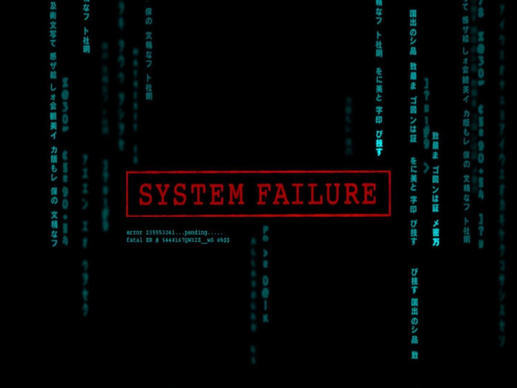## 及術文写て 芽ラ 社明 感ザ絵 U 才会 観美 力版 保の 文精 立りつ

Ø

error 235553261...pending.....

fatal ER # \$444167QW32Z WS 0%\$\$

SYSTEM FAILURE

芽ラ

明

をに美と

字印

び技す

æ.

のい間

致

ŧ

口图

開催し

Ē

美と

学印

び技す

び技す

岡田

.<br>وي

æ

致

Đ

ゴ國ンは証

メ書方

(米の

文精なつ

社明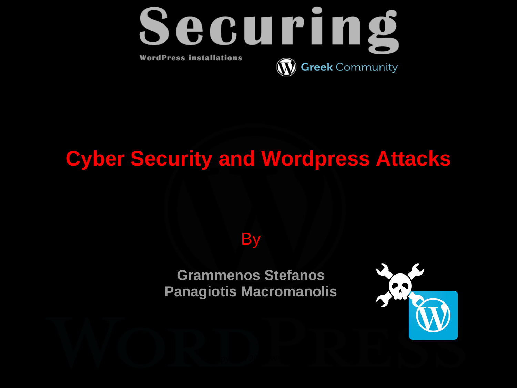

### **Cyber Security and Wordpress Attacks**

**By** 

**Grammenos Stefanos Panagiotis Macromanolis**

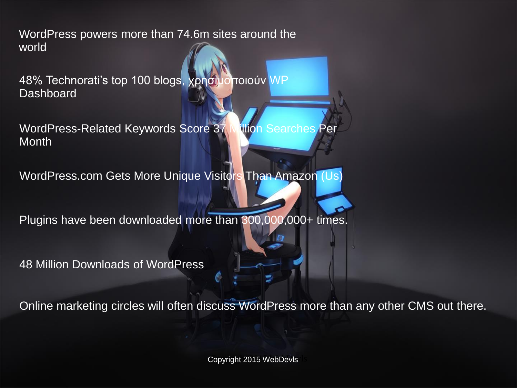WordPress powers more than 74.6m sites around the world

48% Technorati's top 100 blogs, χρησιμοποιούν WP **Dashboard** 

WordPress-Related Keywords Score 37 Million Searches Per **Month** 

WordPress.com Gets More Unique Visitors Than Amazon (Us)

Plugins have been downloaded more than 300,000,000+ times.

48 Million Downloads of WordPress

Online marketing circles will often discuss WordPress more than any other CMS out there.

Copyright 2015 WebDevls Copyright 2015 WebDevls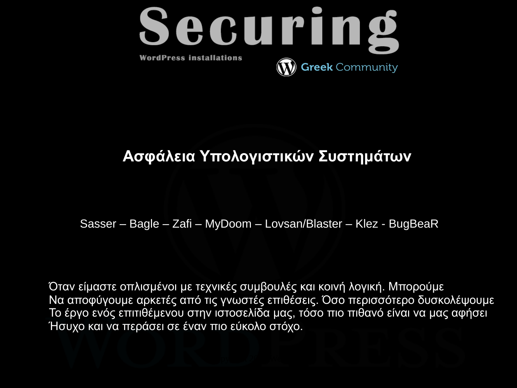

#### **Ασφάλεια Υπολογιστικών Συστημάτων**

Sasser – Bagle – Zafi – MyDoom – Lovsan/Blaster – Klez - BugBeaR

Όταν είμαστε οπλισμένοι με τεχνικές συμβουλές και κοινή λογική. Μπορούμε Να αποφύγουμε αρκετές από τις γνωστές επιθέσεις. Όσο περισσότερο δυσκολέψουμε Το έργο ενός επιτιθέμενου στην ιστοσελίδα μας, τόσο πιο πιθανό είναι να μας αφήσει Ήσυχο και να περάσει σε έναν πιο εύκολο στόχο.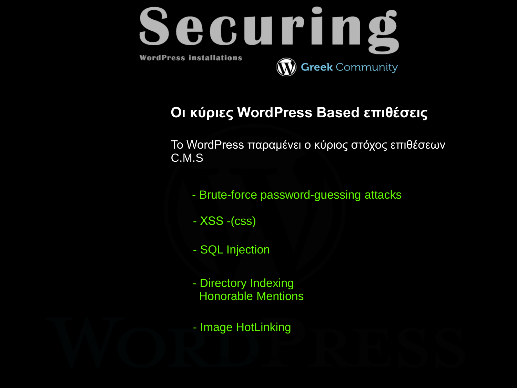

#### **Οι κύριες WordPress Based επιθέσεις**

Το WordPress παραμένει ο κύριος στόχος επιθέσεων C.M.S

- Brute-force password-guessing attacks
- ΧSS -(css)
- SQL Injection
- Directory Indexing Honorable Mentions
- Image HotLinking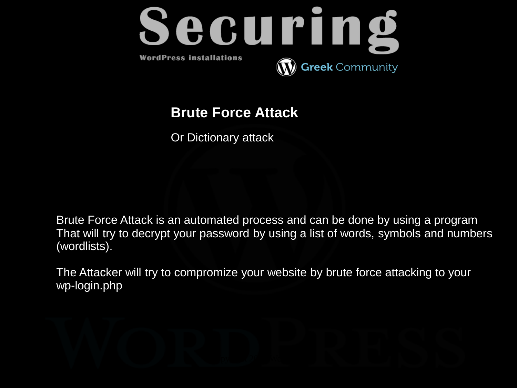

#### **Brute Force Attack**

Or Dictionary attack

Brute Force Attack is an automated process and can be done by using a program That will try to decrypt your password by using a list of words, symbols and numbers (wordlists).

The Attacker will try to compromize your website by brute force attacking to your wp-login.php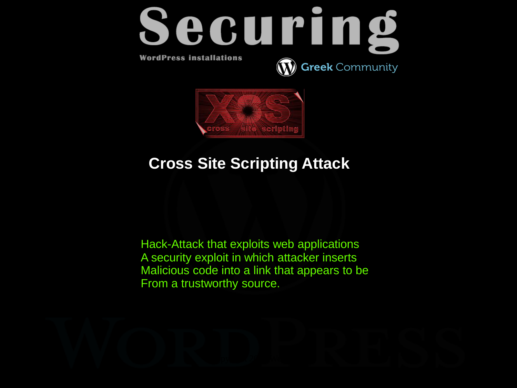



#### **Cross Site Scripting Attack**

Hack-Attack that exploits web applications A security exploit in which attacker inserts Malicious code into a link that appears to be From a trustworthy source.

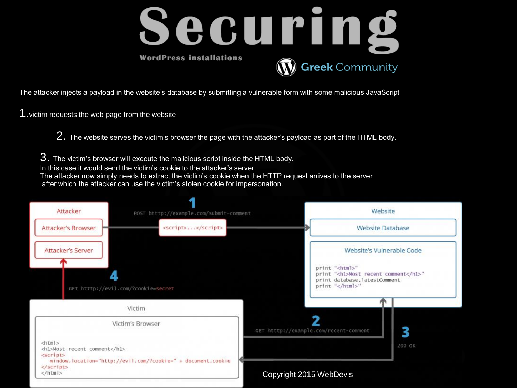

The attacker injects a payload in the website's database by submitting a vulnerable form with some malicious JavaScript

1.victim requests the web page from the website

2. The website serves the victim's browser the page with the attacker's payload as part of the HTML body.

3. The victim's browser will execute the malicious script inside the HTML body.

In this case it would send the victim's cookie to the attacker's server.

The attacker now simply needs to extract the victim's cookie when the HTTP request arrives to the server after which the attacker can use the victim's stolen cookie for impersonation.

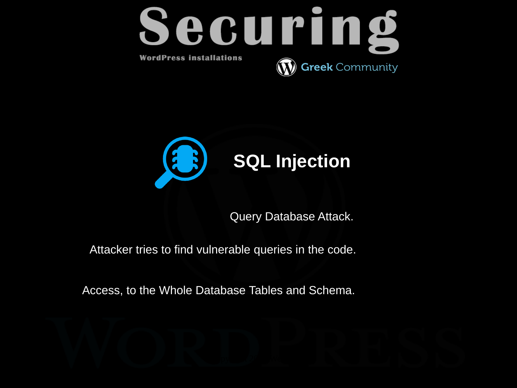



Query Database Attack.

Attacker tries to find vulnerable queries in the code.

Access, to the Whole Database Tables and Schema.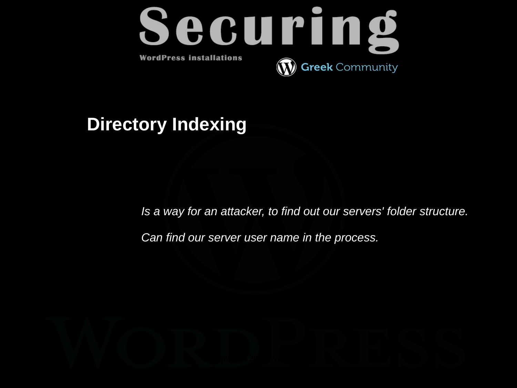

#### **Directory Indexing**

*Is a way for an attacker, to find out our servers' folder structure.*

*Can find our server user name in the process.*

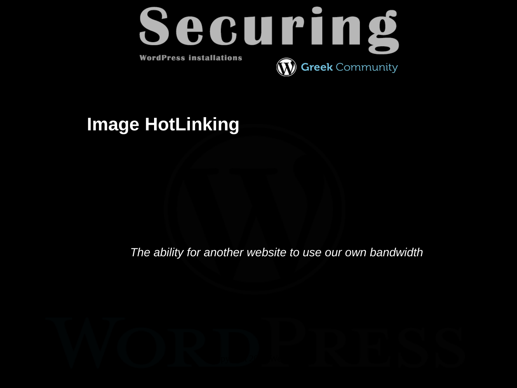

#### **Image HotLinking**

*The ability for another website to use our own bandwidth* 

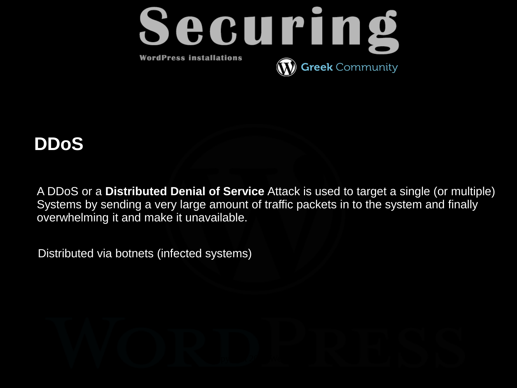

#### **DDoS**

A DDoS or a **Distributed Denial of Service** Attack is used to target a single (or multiple) Systems by sending a very large amount of traffic packets in to the system and finally overwhelming it and make it unavailable.

Distributed via botnets (infected systems)

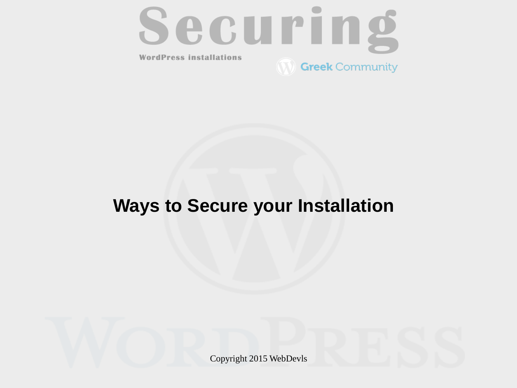

#### **Ways to Secure your Installation**

Copyright 2015 WebDevls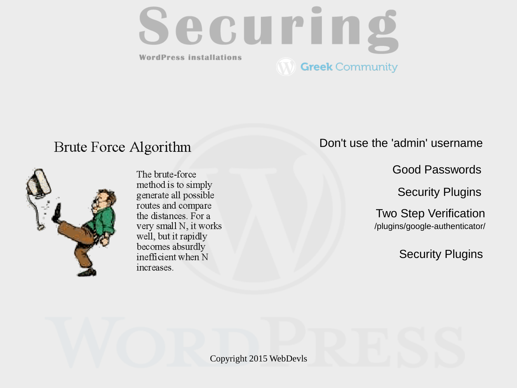

#### Brute Force Algorithm



The brute-force method is to simply generate all possible routes and compare the distances For a very small N, it works well, but it rapidly becomes absurdly inefficient when N increases.

Don't use the 'admin' username

Good Passwords

Security Plugins

/plugins/google-authenticator/ Two Step Verification

Security Plugins

Copyright 2015 WebDevls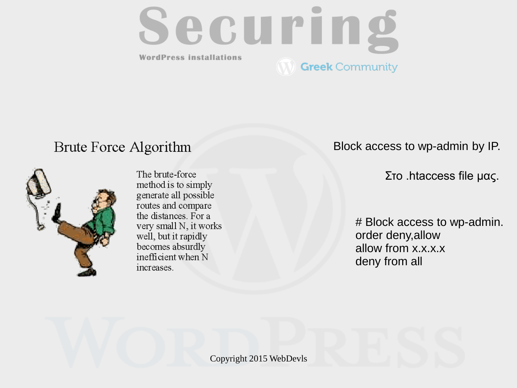

#### Brute Force Algorithm



The brute-force method is to simply generate all possible routes and compare the distances For a very small N, it works well, but it rapidly becomes absurdly inefficient when N increases.

Block access to wp-admin by IP.

Στο .htaccess file μας.

# Block access to wp-admin. order deny,allow allow from x.x.x.x deny from all

Copyright 2015 WebDevls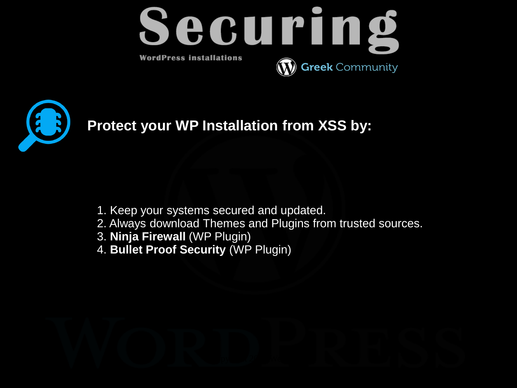



**Protect your WP Installation from XSS by:**

- 1. Keep your systems secured and updated.
- 2. Always download Themes and Plugins from trusted sources.
- 3. **Ninja Firewall** (WP Plugin)
- 4. **Bullet Proof Security** (WP Plugin)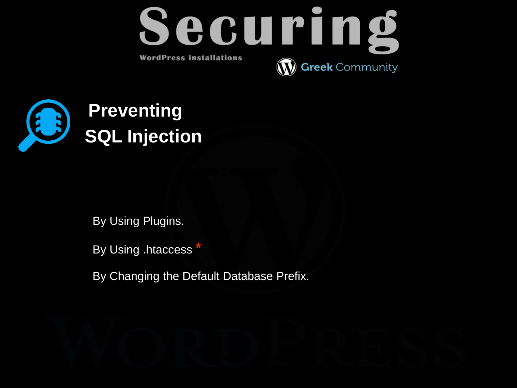



By Using Plugins.

By Using .htaccess \*

By Changing the Default Database Prefix.

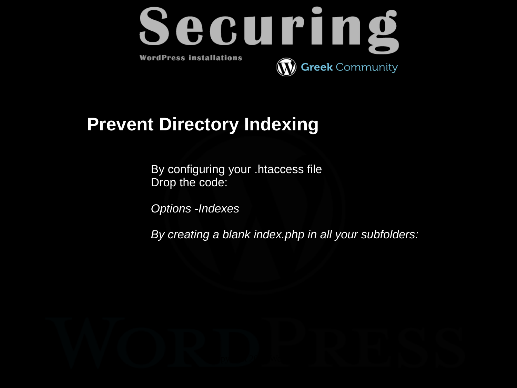

#### **Prevent Directory Indexing**

By configuring your .htaccess file Drop the code:

*Options -Indexes*

*By creating a blank index.php in all your subfolders:* 

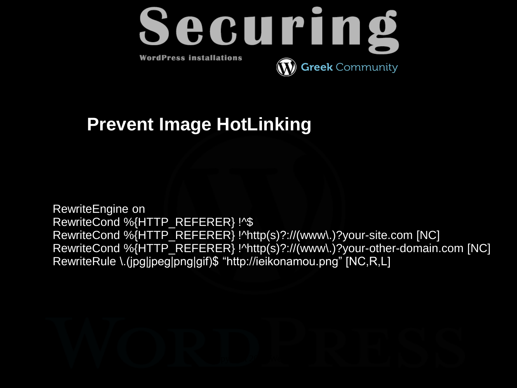

#### **Prevent Image HotLinking**

RewriteEngine on RewriteCond %{HTTP\_REFERER} !^\$ RewriteCond %{HTTP\_REFERER} !^http(s)?://(www\.)?your-site.com [NC] RewriteCond %{HTTP\_REFERER} !^http(s)?://(www\.)?your-other-domain.com [NC] RewriteRule \.(jpg|jpeg|png|gif)\$ "http://ieikonamou.png" [NC,R,L]

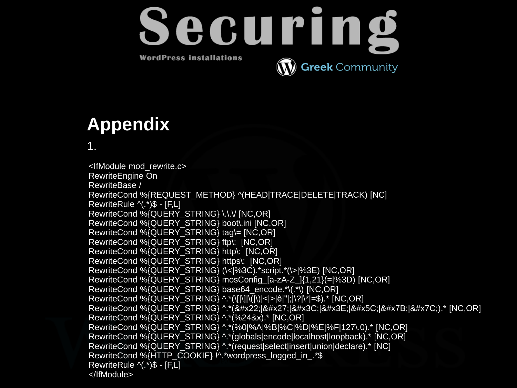

### **Appendix**

1.

RewriteCond %{HTTP\_COOKIE} !^.\*wordpress\_logged\_in\_.\*\$ <IfModule mod\_rewrite.c> RewriteEngine On RewriteBase / RewriteCond %{REQUEST\_METHOD} ^(HEAD|TRACE|DELETE|TRACK) [NC] RewriteRule ^(.\*)\$ - [F,L] RewriteCond %{QUERY\_STRING} \.\.\/ [NC,OR] RewriteCond %{QUERY\_STRING} boot\.ini [NC,OR] RewriteCond %{QUERY\_STRING} tag\= [NC,OR] RewriteCond %{QUERY\_STRING} ftp\: [NC,OR] RewriteCond %{QUERY\_STRING} http\: [NC,OR] RewriteCond %{QUERY\_STRING} https\: [NC,OR] RewriteCond %{QUERY\_STRING} (\<|%3C).\*script.\*(\>|%3E) [NC,OR] RewriteCond %{QUERY\_STRING} mosConfig\_[a-zA-Z\_]{1,21}(=|%3D) [NC,OR] RewriteCond %{QUERY\_STRING} base64\_encode.\*\(.\*\) [NC,OR] RewriteCond %{QUERY\_STRING} ^.\*(\[|\]|\(|\)|<|>|ê|"|;|\?|\\*|=\$).\* [NC,OR] RewriteCond %{QUERY\_STRING} ^.\*("|'|<|&#x3E;|&#x5C;|&#x7B;|&#x7C;).\* [NC,OR] RewriteCond %{QUERY\_STRING} ^.\*(%24&x).\* [NC,OR] RewriteCond %{QUERY\_STRING} ^.\*(%0|%A|%B|%C|%D|%E|%F|127\.0).\* [NC,OR] RewriteCond %{QUERY\_STRING} ^.\*(globals|encode|localhost|loopback).\* [NC,OR] RewriteCond %{QUERY\_STRING} ^.\*(request|select|insert|union|declare).\* [NC] RewriteRule ^(.\*)\$ - [F,L] </IfModule>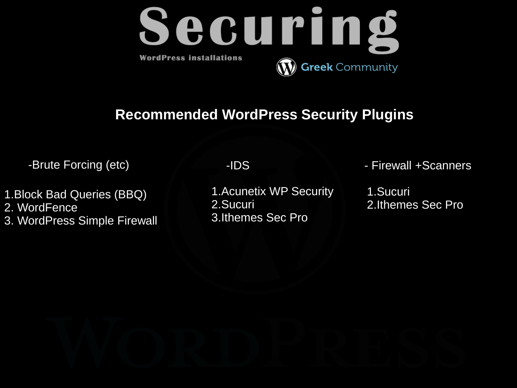

#### **Recommended WordPress Security Plugins**

1.Block Bad Queries (BBQ) 2. WordFence 3. WordPress Simple Firewall

1.Acunetix WP Security 2.Sucuri 3.Ithemes Sec Pro

-Brute Forcing (etc) **-IDS** -IDS - Firewall +Scanners

1.Sucuri 2.Ithemes Sec Pro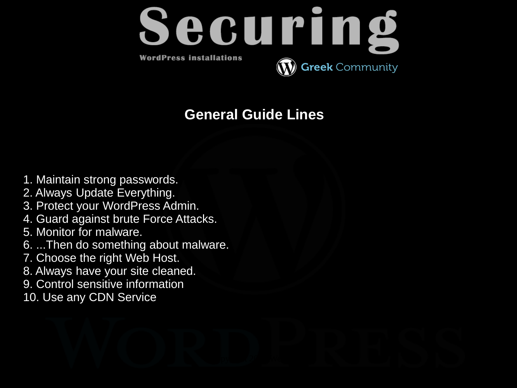

#### **General Guide Lines**

- 1. Maintain strong passwords.
- 2. Always Update Everything.
- 3. Protect your WordPress Admin.
- 4. Guard against brute Force Attacks.
- 5. Monitor for malware.
- 6. ...Then do something about malware.
- 7. Choose the right Web Host.
- 8. Always have your site cleaned.
- 9. Control sensitive information
- 10. Use any CDN Service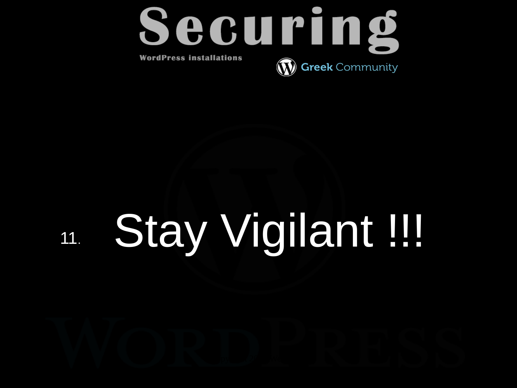

# 11. Stay Vigilant !!!